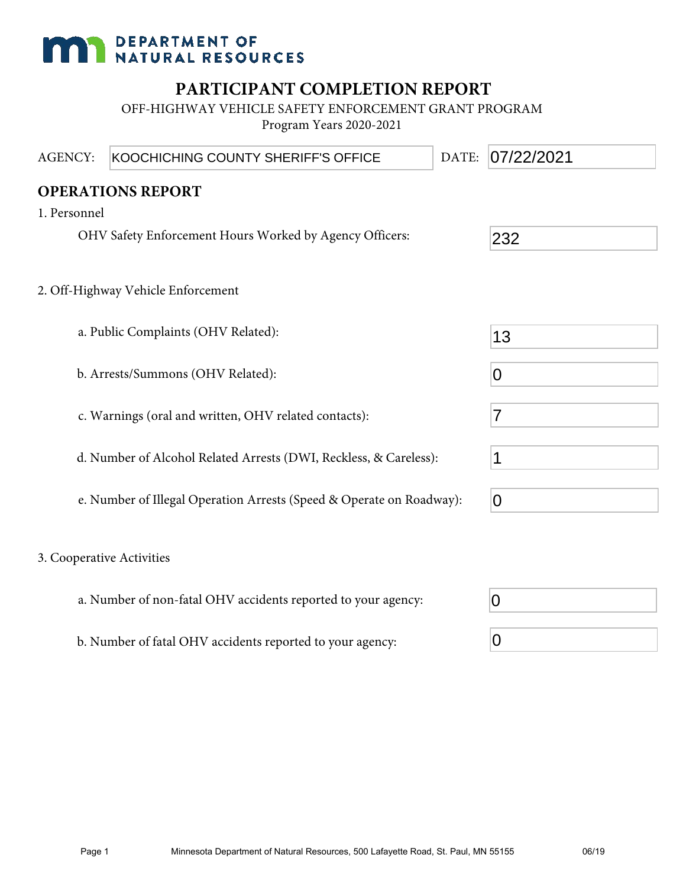# **DEPARTMENT OF NATURAL RESOURCES**

## **PARTICIPANT COMPLETION REPORT**

OFF-HIGHWAY VEHICLE SAFETY ENFORCEMENT GRANT PROGRAM Program Years 2020-2021

| <b>AGENCY:</b>            | KOOCHICHING COUNTY SHERIFF'S OFFICE                                  | DATE: | 07/22/2021     |  |
|---------------------------|----------------------------------------------------------------------|-------|----------------|--|
|                           | <b>OPERATIONS REPORT</b>                                             |       |                |  |
| 1. Personnel              |                                                                      |       |                |  |
|                           | OHV Safety Enforcement Hours Worked by Agency Officers:              |       | 232            |  |
|                           | 2. Off-Highway Vehicle Enforcement                                   |       |                |  |
|                           | a. Public Complaints (OHV Related):                                  |       | 13             |  |
|                           | b. Arrests/Summons (OHV Related):                                    |       | $\overline{0}$ |  |
|                           | c. Warnings (oral and written, OHV related contacts):                |       | $\overline{7}$ |  |
|                           | d. Number of Alcohol Related Arrests (DWI, Reckless, & Careless):    |       | 1              |  |
|                           | e. Number of Illegal Operation Arrests (Speed & Operate on Roadway): |       | $\overline{0}$ |  |
| 3. Cooperative Activities |                                                                      |       |                |  |
|                           | a. Number of non-fatal OHV accidents reported to your agency:        |       | 0              |  |
|                           | b. Number of fatal OHV accidents reported to your agency:            |       | 0              |  |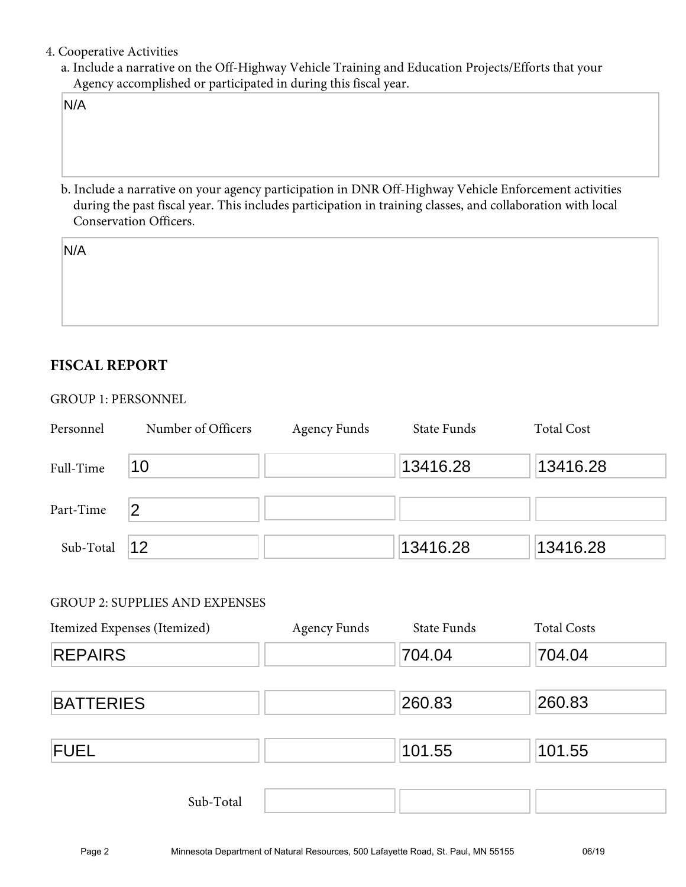#### 4. Cooperative Activities

a. Include a narrative on the Off-Highway Vehicle Training and Education Projects/Efforts that your Agency accomplished or participated in during this fiscal year.

N/A

b. Include a narrative on your agency participation in DNR Off-Highway Vehicle Enforcement activities during the past fiscal year. This includes participation in training classes, and collaboration with local Conservation Officers.

N/A

### **FISCAL REPORT**

#### GROUP 1: PERSONNEL

| Personnel | Number of Officers | <b>Agency Funds</b> | State Funds | <b>Total Cost</b> |
|-----------|--------------------|---------------------|-------------|-------------------|
| Full-Time | 10                 |                     | 13416.28    | 13416.28          |
| Part-Time | 2                  |                     |             |                   |
| Sub-Total | 12                 |                     | 13416.28    | 13416.28          |

#### GROUP 2: SUPPLIES AND EXPENSES

| Itemized Expenses (Itemized) | <b>Agency Funds</b> | State Funds | <b>Total Costs</b> |
|------------------------------|---------------------|-------------|--------------------|
| <b>REPAIRS</b>               |                     | 704.04      | 704.04             |
| <b>BATTERIES</b>             |                     | 260.83      | 260.83             |
| <b>FUEL</b>                  |                     | 101.55      | 101.55             |
| Sub-Total                    |                     |             |                    |